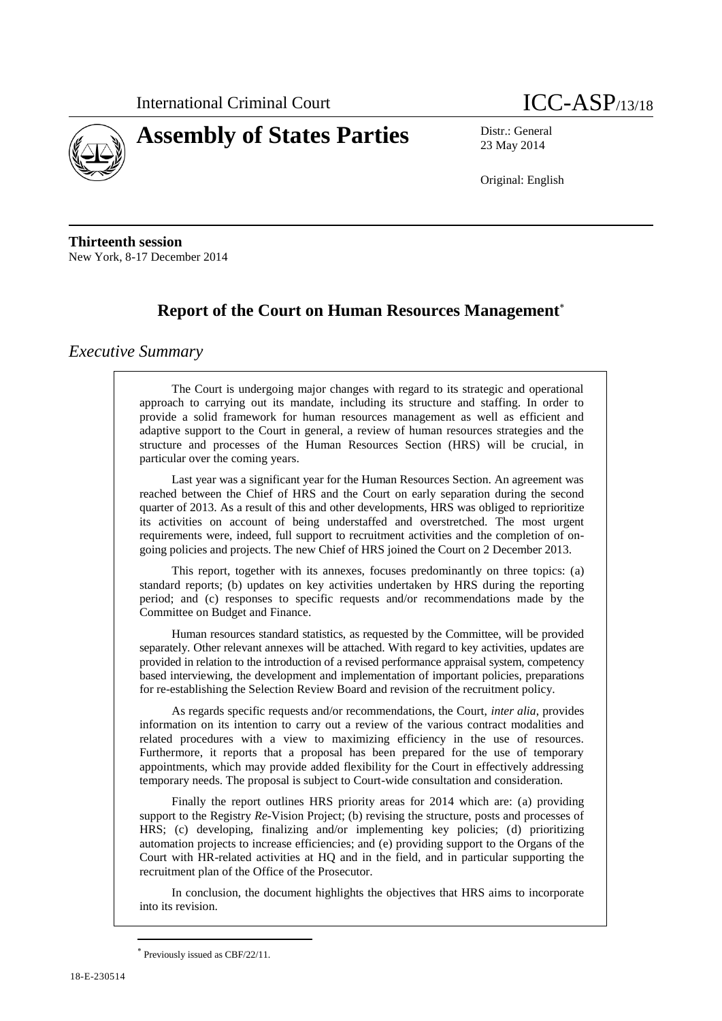



23 May 2014

Original: English

**Thirteenth session** New York, 8-17 December 2014

# **Report of the Court on Human Resources Management**

# *Executive Summary*

The Court is undergoing major changes with regard to its strategic and operational approach to carrying out its mandate, including its structure and staffing. In order to provide a solid framework for human resources management as well as efficient and adaptive support to the Court in general, a review of human resources strategies and the structure and processes of the Human Resources Section (HRS) will be crucial, in particular over the coming years.

Last year was a significant year for the Human Resources Section. An agreement was reached between the Chief of HRS and the Court on early separation during the second quarter of 2013. As a result of this and other developments, HRS was obliged to reprioritize its activities on account of being understaffed and overstretched. The most urgent requirements were, indeed, full support to recruitment activities and the completion of ongoing policies and projects. The new Chief of HRS joined the Court on 2 December 2013.

This report, together with its annexes, focuses predominantly on three topics: (a) standard reports; (b) updates on key activities undertaken by HRS during the reporting period; and (c) responses to specific requests and/or recommendations made by the Committee on Budget and Finance.

Human resources standard statistics, as requested by the Committee, will be provided separately. Other relevant annexes will be attached. With regard to key activities, updates are provided in relation to the introduction of a revised performance appraisal system, competency based interviewing, the development and implementation of important policies, preparations for re-establishing the Selection Review Board and revision of the recruitment policy.

As regards specific requests and/or recommendations, the Court, *inter alia*, provides information on its intention to carry out a review of the various contract modalities and related procedures with a view to maximizing efficiency in the use of resources. Furthermore, it reports that a proposal has been prepared for the use of temporary appointments, which may provide added flexibility for the Court in effectively addressing temporary needs. The proposal is subject to Court-wide consultation and consideration.

Finally the report outlines HRS priority areas for 2014 which are: (a) providing support to the Registry *Re*-Vision Project; (b) revising the structure, posts and processes of HRS; (c) developing, finalizing and/or implementing key policies; (d) prioritizing automation projects to increase efficiencies; and (e) providing support to the Organs of the Court with HR-related activities at HQ and in the field, and in particular supporting the recruitment plan of the Office of the Prosecutor.

In conclusion, the document highlights the objectives that HRS aims to incorporate into its revision.

Previously issued as CBF/22/11.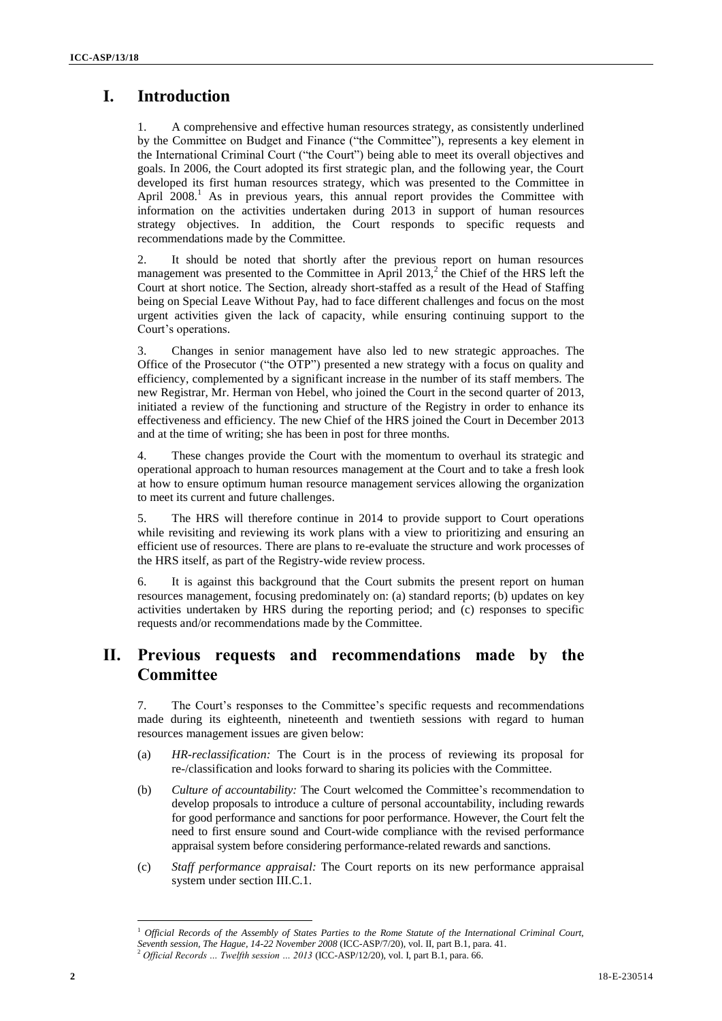# **I. Introduction**

1. A comprehensive and effective human resources strategy, as consistently underlined by the Committee on Budget and Finance ("the Committee"), represents a key element in the International Criminal Court ("the Court") being able to meet its overall objectives and goals. In 2006, the Court adopted its first strategic plan, and the following year, the Court developed its first human resources strategy, which was presented to the Committee in April  $2008<sup>1</sup>$  As in previous years, this annual report provides the Committee with information on the activities undertaken during 2013 in support of human resources strategy objectives. In addition, the Court responds to specific requests and recommendations made by the Committee.

2. It should be noted that shortly after the previous report on human resources management was presented to the Committee in April  $2013$ ,<sup>2</sup> the Chief of the HRS left the Court at short notice. The Section, already short-staffed as a result of the Head of Staffing being on Special Leave Without Pay, had to face different challenges and focus on the most urgent activities given the lack of capacity, while ensuring continuing support to the Court's operations.

3. Changes in senior management have also led to new strategic approaches. The Office of the Prosecutor ("the OTP") presented a new strategy with a focus on quality and efficiency, complemented by a significant increase in the number of its staff members. The new Registrar, Mr. Herman von Hebel, who joined the Court in the second quarter of 2013, initiated a review of the functioning and structure of the Registry in order to enhance its effectiveness and efficiency. The new Chief of the HRS joined the Court in December 2013 and at the time of writing; she has been in post for three months.

4. These changes provide the Court with the momentum to overhaul its strategic and operational approach to human resources management at the Court and to take a fresh look at how to ensure optimum human resource management services allowing the organization to meet its current and future challenges.

5. The HRS will therefore continue in 2014 to provide support to Court operations while revisiting and reviewing its work plans with a view to prioritizing and ensuring an efficient use of resources. There are plans to re-evaluate the structure and work processes of the HRS itself, as part of the Registry-wide review process.

6. It is against this background that the Court submits the present report on human resources management, focusing predominately on: (a) standard reports; (b) updates on key activities undertaken by HRS during the reporting period; and (c) responses to specific requests and/or recommendations made by the Committee.

# **II. Previous requests and recommendations made by the Committee**

7. The Court's responses to the Committee's specific requests and recommendations made during its eighteenth, nineteenth and twentieth sessions with regard to human resources management issues are given below:

- (a) *HR-reclassification:* The Court is in the process of reviewing its proposal for re-/classification and looks forward to sharing its policies with the Committee.
- (b) *Culture of accountability:* The Court welcomed the Committee's recommendation to develop proposals to introduce a culture of personal accountability, including rewards for good performance and sanctions for poor performance. However, the Court felt the need to first ensure sound and Court-wide compliance with the revised performance appraisal system before considering performance-related rewards and sanctions.
- (c) *Staff performance appraisal:* The Court reports on its new performance appraisal system under section III.C.1.

 $\overline{a}$ <sup>1</sup> *Official Records of the Assembly of States Parties to the Rome Statute of the International Criminal Court, Seventh session, The Hague, 14-22 November 2008* (ICC-ASP/7/20), vol. II, part B.1, para. 41. <sup>2</sup> *Official Records … Twelfth session … 2013* (ICC-ASP/12/20), vol. I, part B.1, para. 66.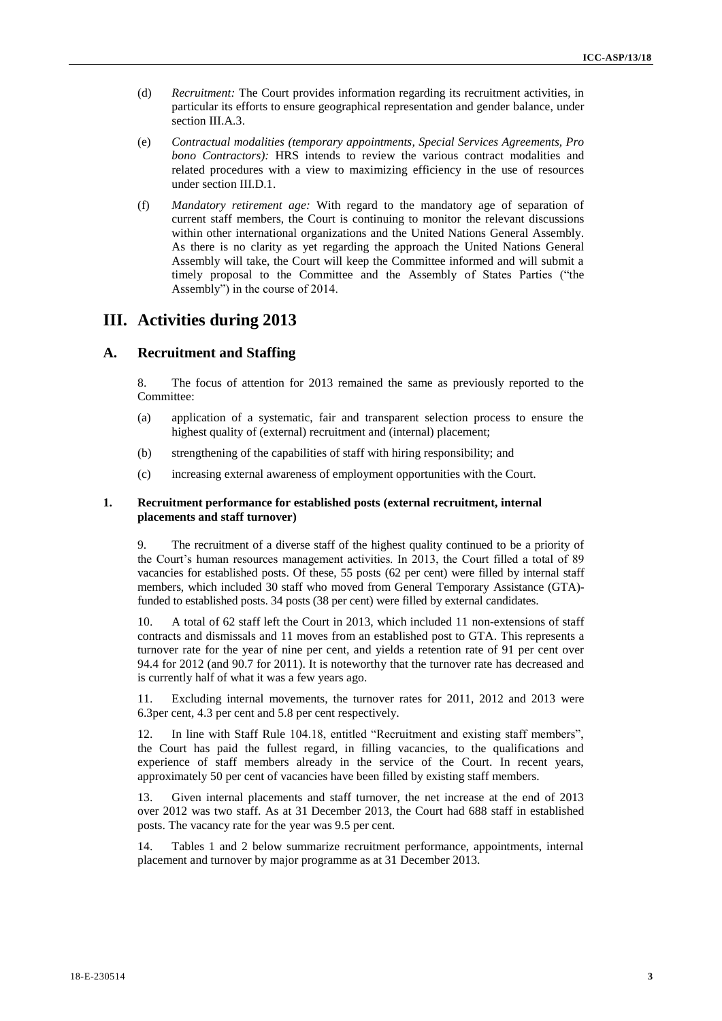- (d) *Recruitment:* The Court provides information regarding its recruitment activities, in particular its efforts to ensure geographical representation and gender balance, under section III.A.3.
- (e) *Contractual modalities (temporary appointments, Special Services Agreements, Pro bono Contractors):* HRS intends to review the various contract modalities and related procedures with a view to maximizing efficiency in the use of resources under section III.D.1.
- (f) *Mandatory retirement age:* With regard to the mandatory age of separation of current staff members, the Court is continuing to monitor the relevant discussions within other international organizations and the United Nations General Assembly. As there is no clarity as yet regarding the approach the United Nations General Assembly will take, the Court will keep the Committee informed and will submit a timely proposal to the Committee and the Assembly of States Parties ("the Assembly") in the course of 2014.

# **III. Activities during 2013**

# **A. Recruitment and Staffing**

8. The focus of attention for 2013 remained the same as previously reported to the Committee:

- (a) application of a systematic, fair and transparent selection process to ensure the highest quality of (external) recruitment and (internal) placement;
- (b) strengthening of the capabilities of staff with hiring responsibility; and
- (c) increasing external awareness of employment opportunities with the Court.

#### **1. Recruitment performance for established posts (external recruitment, internal placements and staff turnover)**

9. The recruitment of a diverse staff of the highest quality continued to be a priority of the Court's human resources management activities. In 2013, the Court filled a total of 89 vacancies for established posts. Of these, 55 posts (62 per cent) were filled by internal staff members, which included 30 staff who moved from General Temporary Assistance (GTA) funded to established posts. 34 posts (38 per cent) were filled by external candidates.

10. A total of 62 staff left the Court in 2013, which included 11 non-extensions of staff contracts and dismissals and 11 moves from an established post to GTA. This represents a turnover rate for the year of nine per cent, and yields a retention rate of 91 per cent over 94.4 for 2012 (and 90.7 for 2011). It is noteworthy that the turnover rate has decreased and is currently half of what it was a few years ago.

11. Excluding internal movements, the turnover rates for 2011, 2012 and 2013 were 6.3per cent, 4.3 per cent and 5.8 per cent respectively.

12. In line with Staff Rule 104.18, entitled "Recruitment and existing staff members", the Court has paid the fullest regard, in filling vacancies, to the qualifications and experience of staff members already in the service of the Court. In recent years, approximately 50 per cent of vacancies have been filled by existing staff members.

13. Given internal placements and staff turnover, the net increase at the end of 2013 over 2012 was two staff. As at 31 December 2013, the Court had 688 staff in established posts. The vacancy rate for the year was 9.5 per cent.

14. Tables 1 and 2 below summarize recruitment performance, appointments, internal placement and turnover by major programme as at 31 December 2013.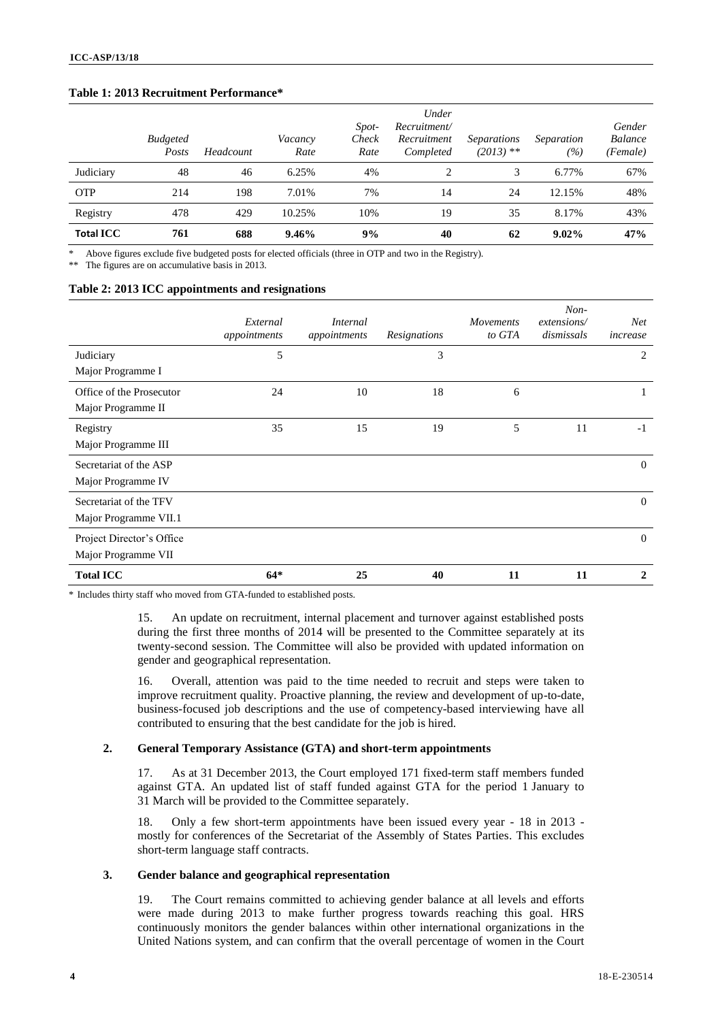## **Table 1: 2013 Recruitment Performance\*** <sup>4</sup>

|                  | <b>Budgeted</b><br>Posts | Headcount | Vacancy<br>Rate | Spot-<br>Check<br>Rate | Under<br>Recruitment/<br>Recruitment<br>Completed | <i>Separations</i><br>$(2013)$ ** | Separation<br>(%) | Gender<br><b>Balance</b><br>(Female) |
|------------------|--------------------------|-----------|-----------------|------------------------|---------------------------------------------------|-----------------------------------|-------------------|--------------------------------------|
| Judiciary        | 48                       | 46        | 6.25%           | 4%                     | 2                                                 | 3                                 | 6.77%             | 67%                                  |
| <b>OTP</b>       | 214                      | 198       | 7.01%           | 7%                     | 14                                                | 24                                | 12.15%            | 48%                                  |
| Registry         | 478                      | 429       | 10.25%          | 10%                    | 19                                                | 35                                | 8.17%             | 43%                                  |
| <b>Total ICC</b> | 761                      | 688       | $9.46\%$        | 9%                     | 40                                                | 62                                | $9.02\%$          | 47%                                  |

\* Above figures exclude five budgeted posts for elected officials (three in OTP and two in the Registry).

The figures are on accumulative basis in 2013.

#### **Table 2: 2013 ICC appointments and resignations**

|                           | External<br>appointments | <i>Internal</i><br>appointments | Resignations | <b>Movements</b><br>to GTA | $Non-$<br>extensions/<br>dismissals | Net <sub></sub><br>increase |
|---------------------------|--------------------------|---------------------------------|--------------|----------------------------|-------------------------------------|-----------------------------|
| Judiciary                 | 5                        |                                 | 3            |                            |                                     | 2                           |
| Major Programme I         |                          |                                 |              |                            |                                     |                             |
| Office of the Prosecutor  | 24                       | 10                              | 18           | 6                          |                                     | 1                           |
| Major Programme II        |                          |                                 |              |                            |                                     |                             |
| Registry                  | 35                       | 15                              | 19           | 5                          | 11                                  | $-1$                        |
| Major Programme III       |                          |                                 |              |                            |                                     |                             |
| Secretariat of the ASP    |                          |                                 |              |                            |                                     | $\theta$                    |
| Major Programme IV        |                          |                                 |              |                            |                                     |                             |
| Secretariat of the TFV    |                          |                                 |              |                            |                                     | $\Omega$                    |
| Major Programme VII.1     |                          |                                 |              |                            |                                     |                             |
| Project Director's Office |                          |                                 |              |                            |                                     | $\overline{0}$              |
| Major Programme VII       |                          |                                 |              |                            |                                     |                             |
| <b>Total ICC</b>          | $64*$                    | 25                              | 40           | 11                         | 11                                  | $\mathbf{2}$                |

\* Includes thirty staff who moved from GTA-funded to established posts.

15. An update on recruitment, internal placement and turnover against established posts during the first three months of 2014 will be presented to the Committee separately at its twenty-second session. The Committee will also be provided with updated information on gender and geographical representation.

16. Overall, attention was paid to the time needed to recruit and steps were taken to improve recruitment quality. Proactive planning, the review and development of up-to-date, business-focused job descriptions and the use of competency-based interviewing have all contributed to ensuring that the best candidate for the job is hired.

### **2. General Temporary Assistance (GTA) and short-term appointments**

17. As at 31 December 2013, the Court employed 171 fixed-term staff members funded against GTA. An updated list of staff funded against GTA for the period 1 January to 31 March will be provided to the Committee separately.

18. Only a few short-term appointments have been issued every year - 18 in 2013 mostly for conferences of the Secretariat of the Assembly of States Parties. This excludes short-term language staff contracts.

## **3. Gender balance and geographical representation**

19. The Court remains committed to achieving gender balance at all levels and efforts were made during 2013 to make further progress towards reaching this goal. HRS continuously monitors the gender balances within other international organizations in the United Nations system, and can confirm that the overall percentage of women in the Court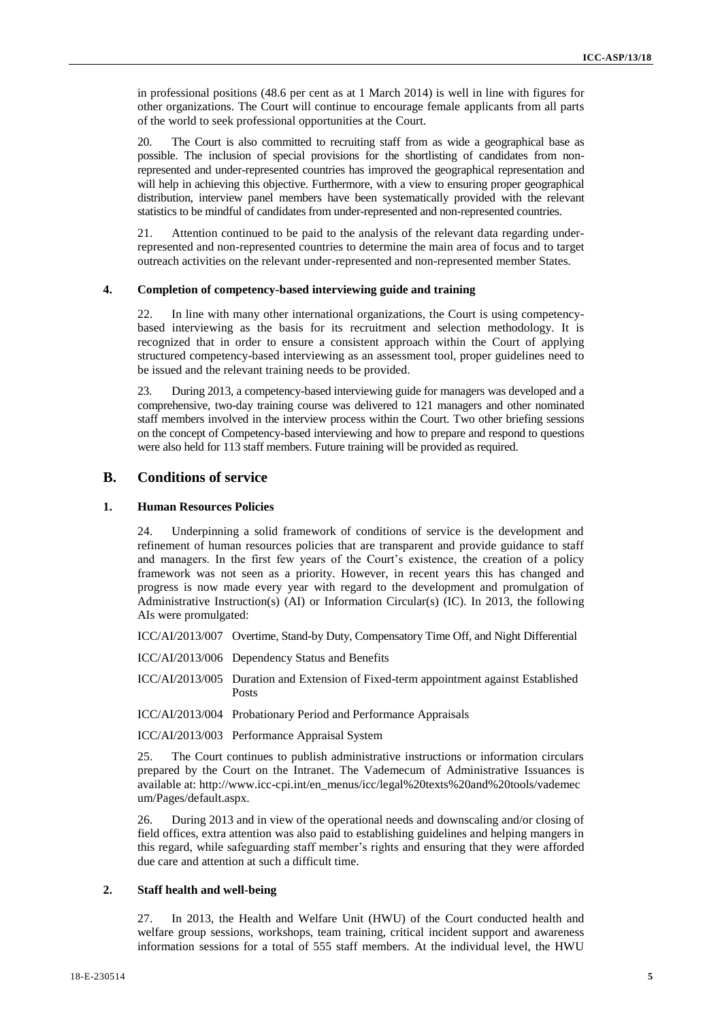in professional positions (48.6 per cent as at 1 March 2014) is well in line with figures for <sup>5</sup> other organizations. The Court will continue to encourage female applicants from all parts of the world to seek professional opportunities at the Court.

20. The Court is also committed to recruiting staff from as wide a geographical base as possible. The inclusion of special provisions for the shortlisting of candidates from nonrepresented and under-represented countries has improved the geographical representation and will help in achieving this objective. Furthermore, with a view to ensuring proper geographical distribution, interview panel members have been systematically provided with the relevant statistics to be mindful of candidates from under-represented and non-represented countries.

21. Attention continued to be paid to the analysis of the relevant data regarding underrepresented and non-represented countries to determine the main area of focus and to target outreach activities on the relevant under-represented and non-represented member States.

## **4. Completion of competency-based interviewing guide and training**

22. In line with many other international organizations, the Court is using competencybased interviewing as the basis for its recruitment and selection methodology. It is recognized that in order to ensure a consistent approach within the Court of applying structured competency-based interviewing as an assessment tool, proper guidelines need to be issued and the relevant training needs to be provided.

23. During 2013, a competency-based interviewing guide for managers was developed and a comprehensive, two-day training course was delivered to 121 managers and other nominated staff members involved in the interview process within the Court. Two other briefing sessions on the concept of Competency-based interviewing and how to prepare and respond to questions were also held for 113 staff members. Future training will be provided as required.

# **B. Conditions of service**

#### **1. Human Resources Policies**

24. Underpinning a solid framework of conditions of service is the development and refinement of human resources policies that are transparent and provide guidance to staff and managers. In the first few years of the Court's existence, the creation of a policy framework was not seen as a priority. However, in recent years this has changed and progress is now made every year with regard to the development and promulgation of Administrative Instruction(s) (AI) or Information Circular(s) (IC). In 2013, the following AIs were promulgated:

ICC/AI/2013/007 Overtime, Stand-by Duty, Compensatory Time Off, and Night Differential

ICC/AI/2013/006 Dependency Status and Benefits

ICC/AI/2013/005 Duration and Extension of Fixed-term appointment against Established Posts

ICC/AI/2013/004 Probationary Period and Performance Appraisals

ICC/AI/2013/003 Performance Appraisal System

25. The Court continues to publish administrative instructions or information circulars prepared by the Court on the Intranet. The Vademecum of Administrative Issuances is available at: [http://www.icc-cpi.int/en\\_menus/icc/legal%20texts%20and%20tools/vademec](https://webmail.icc-cpi.int/exchweb/bin/redir.asp?URL=http://www.icc-cpi.int/en_menus/icc/legal%2520texts%2520and%2520tools/vademecum/Pages/default.aspx) [um/Pages/default.aspx.](https://webmail.icc-cpi.int/exchweb/bin/redir.asp?URL=http://www.icc-cpi.int/en_menus/icc/legal%2520texts%2520and%2520tools/vademecum/Pages/default.aspx)

26. During 2013 and in view of the operational needs and downscaling and/or closing of field offices, extra attention was also paid to establishing guidelines and helping mangers in this regard, while safeguarding staff member's rights and ensuring that they were afforded due care and attention at such a difficult time.

#### **2. Staff health and well-being**

27. In 2013, the Health and Welfare Unit (HWU) of the Court conducted health and welfare group sessions, workshops, team training, critical incident support and awareness information sessions for a total of 555 staff members. At the individual level, the HWU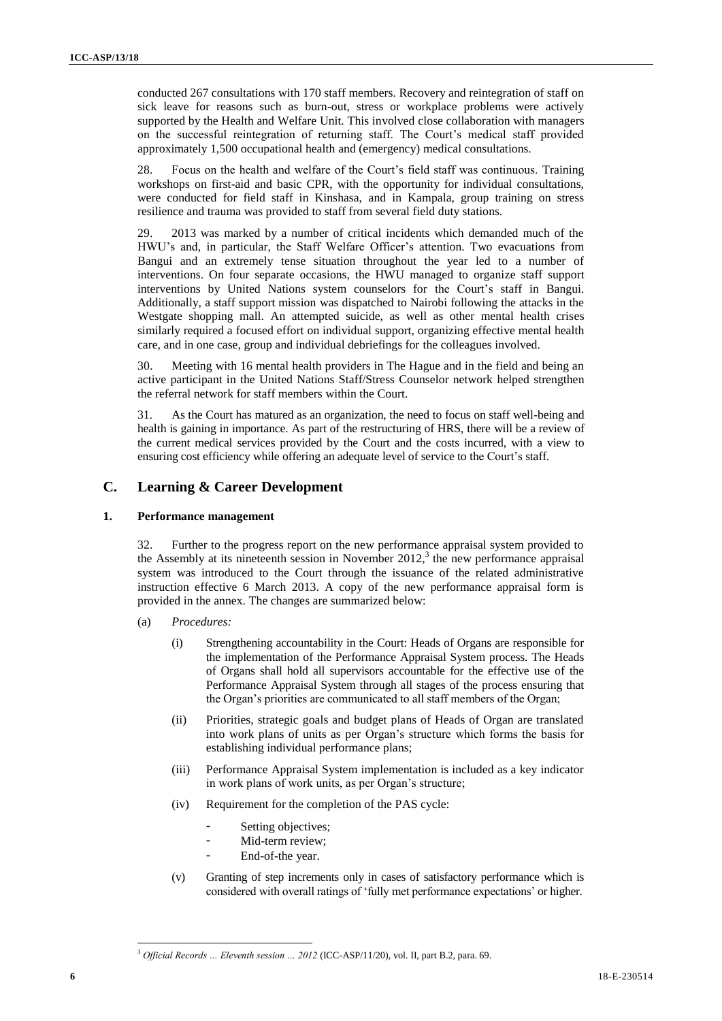conducted 267 consultations with 170 staff members. Recovery and reintegration of staff on sick leave for reasons such as burn-out, stress or workplace problems were actively supported by the Health and Welfare Unit. This involved close collaboration with managers on the successful reintegration of returning staff. The Court's medical staff provided approximately 1,500 occupational health and (emergency) medical consultations.

28. Focus on the health and welfare of the Court's field staff was continuous. Training workshops on first-aid and basic CPR, with the opportunity for individual consultations, were conducted for field staff in Kinshasa, and in Kampala, group training on stress resilience and trauma was provided to staff from several field duty stations.

29. 2013 was marked by a number of critical incidents which demanded much of the HWU's and, in particular, the Staff Welfare Officer's attention. Two evacuations from Bangui and an extremely tense situation throughout the year led to a number of interventions. On four separate occasions, the HWU managed to organize staff support interventions by United Nations system counselors for the Court's staff in Bangui. Additionally, a staff support mission was dispatched to Nairobi following the attacks in the Westgate shopping mall. An attempted suicide, as well as other mental health crises similarly required a focused effort on individual support, organizing effective mental health care, and in one case, group and individual debriefings for the colleagues involved.

30. Meeting with 16 mental health providers in The Hague and in the field and being an active participant in the United Nations Staff/Stress Counselor network helped strengthen the referral network for staff members within the Court.

31. As the Court has matured as an organization, the need to focus on staff well-being and health is gaining in importance. As part of the restructuring of HRS, there will be a review of the current medical services provided by the Court and the costs incurred, with a view to ensuring cost efficiency while offering an adequate level of service to the Court's staff.

# **C. Learning & Career Development**

## **1. Performance management**

32. Further to the progress report on the new performance appraisal system provided to the Assembly at its nineteenth session in November  $2012$ ,<sup>3</sup> the new performance appraisal system was introduced to the Court through the issuance of the related administrative instruction effective 6 March 2013. A copy of the new performance appraisal form is provided in the annex. The changes are summarized below:

- (a) *Procedures:*
	- (i) Strengthening accountability in the Court: Heads of Organs are responsible for the implementation of the Performance Appraisal System process. The Heads of Organs shall hold all supervisors accountable for the effective use of the Performance Appraisal System through all stages of the process ensuring that the Organ's priorities are communicated to all staff members of the Organ;
	- (ii) Priorities, strategic goals and budget plans of Heads of Organ are translated into work plans of units as per Organ's structure which forms the basis for establishing individual performance plans;
	- (iii) Performance Appraisal System implementation is included as a key indicator in work plans of work units, as per Organ's structure;
	- (iv) Requirement for the completion of the PAS cycle:
		- Setting objectives;
		- Mid-term review;
		- End-of-the year.
	- (v) Granting of step increments only in cases of satisfactory performance which is considered with overall ratings of 'fully met performance expectations' or higher.

<sup>3</sup> *Official Records … Eleventh session … 2012* (ICC-ASP/11/20), vol. II, part B.2, para. 69.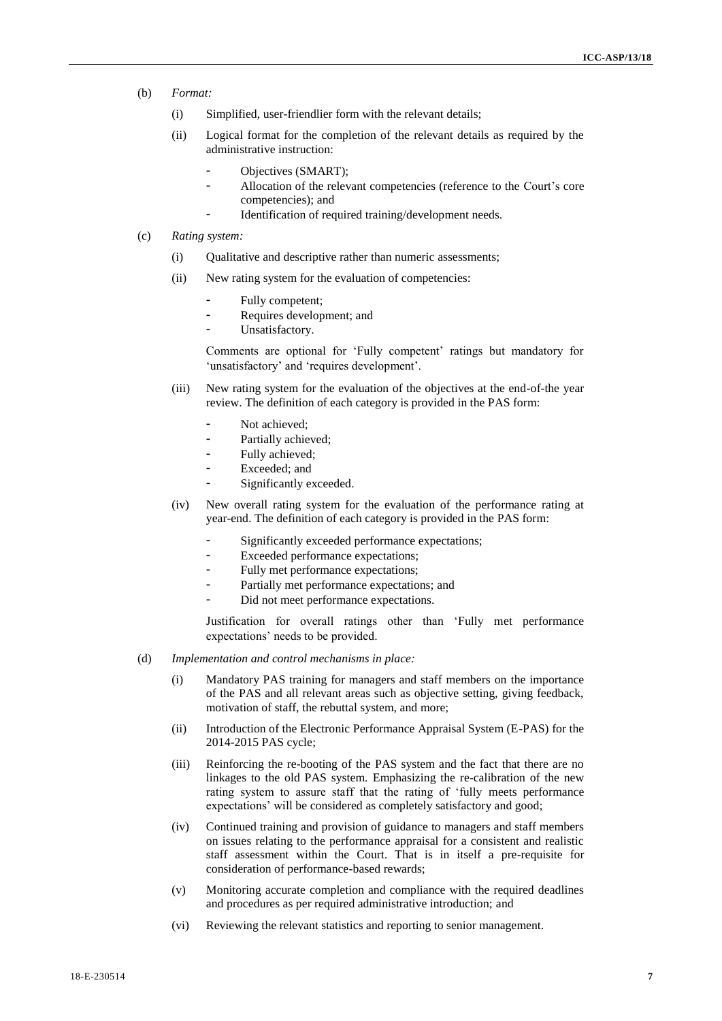- (b) *Format:* <sup>7</sup>
	- (i) Simplified, user-friendlier form with the relevant details;
	- (ii) Logical format for the completion of the relevant details as required by the administrative instruction:
		- Objectives (SMART);
		- Allocation of the relevant competencies (reference to the Court's core competencies); and
			- Identification of required training/development needs.
- (c) *Rating system:*
	- (i) Qualitative and descriptive rather than numeric assessments;
	- (ii) New rating system for the evaluation of competencies:
		- Fully competent;
		- Requires development; and
		- Unsatisfactory.

Comments are optional for 'Fully competent' ratings but mandatory for 'unsatisfactory' and 'requires development'.

- (iii) New rating system for the evaluation of the objectives at the end-of-the year review. The definition of each category is provided in the PAS form:
	- Not achieved;
	- Partially achieved;
	- Fully achieved;
	- Exceeded; and
	- Significantly exceeded.
- (iv) New overall rating system for the evaluation of the performance rating at year-end. The definition of each category is provided in the PAS form:
	- Significantly exceeded performance expectations;
	- Exceeded performance expectations;
	- Fully met performance expectations;
	- Partially met performance expectations; and
	- Did not meet performance expectations.

Justification for overall ratings other than 'Fully met performance expectations' needs to be provided.

- (d) *Implementation and control mechanisms in place:*
	- (i) Mandatory PAS training for managers and staff members on the importance of the PAS and all relevant areas such as objective setting, giving feedback, motivation of staff, the rebuttal system, and more;
	- (ii) Introduction of the Electronic Performance Appraisal System (E-PAS) for the 2014-2015 PAS cycle;
	- (iii) Reinforcing the re-booting of the PAS system and the fact that there are no linkages to the old PAS system. Emphasizing the re-calibration of the new rating system to assure staff that the rating of 'fully meets performance expectations' will be considered as completely satisfactory and good;
	- (iv) Continued training and provision of guidance to managers and staff members on issues relating to the performance appraisal for a consistent and realistic staff assessment within the Court. That is in itself a pre-requisite for consideration of performance-based rewards;
	- (v) Monitoring accurate completion and compliance with the required deadlines and procedures as per required administrative introduction; and
	- (vi) Reviewing the relevant statistics and reporting to senior management.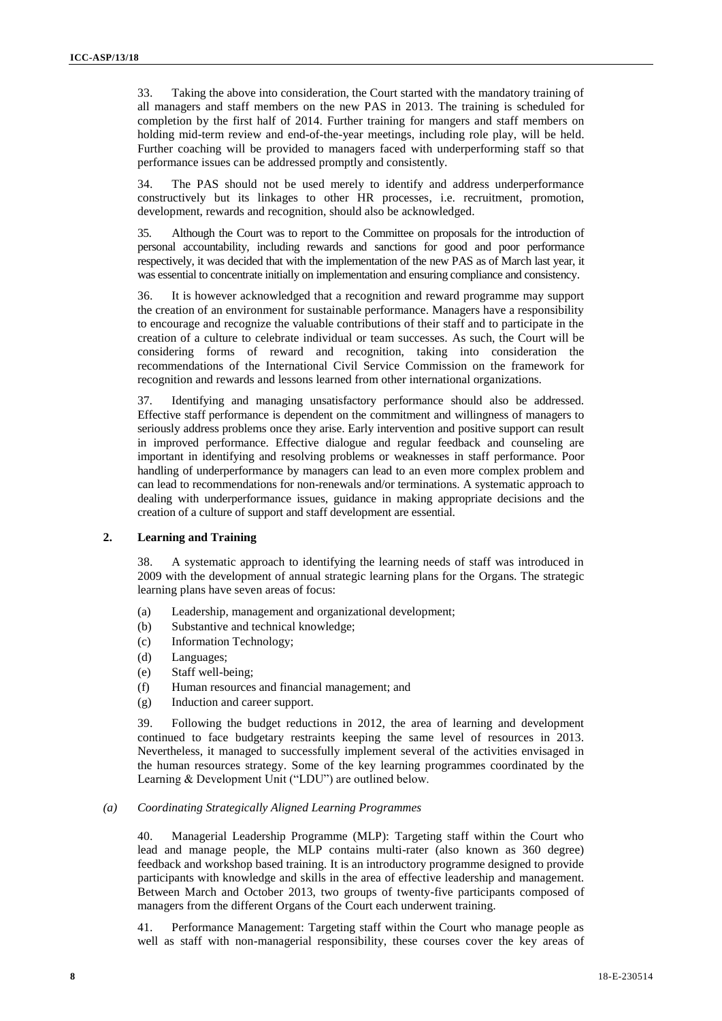33. Taking the above into consideration, the Court started with the mandatory training of <sup>8</sup> all managers and staff members on the new PAS in 2013. The training is scheduled for completion by the first half of 2014. Further training for mangers and staff members on holding mid-term review and end-of-the-year meetings, including role play, will be held. Further coaching will be provided to managers faced with underperforming staff so that performance issues can be addressed promptly and consistently.

34. The PAS should not be used merely to identify and address underperformance constructively but its linkages to other HR processes, i.e. recruitment, promotion, development, rewards and recognition, should also be acknowledged.

35. Although the Court was to report to the Committee on proposals for the introduction of personal accountability, including rewards and sanctions for good and poor performance respectively, it was decided that with the implementation of the new PAS as of March last year, it was essential to concentrate initially on implementation and ensuring compliance and consistency.

36. It is however acknowledged that a recognition and reward programme may support the creation of an environment for sustainable performance. Managers have a responsibility to encourage and recognize the valuable contributions of their staff and to participate in the creation of a culture to celebrate individual or team successes. As such, the Court will be considering forms of reward and recognition, taking into consideration the recommendations of the International Civil Service Commission on the framework for recognition and rewards and lessons learned from other international organizations.

37. Identifying and managing unsatisfactory performance should also be addressed. Effective staff performance is dependent on the commitment and willingness of managers to seriously address problems once they arise. Early intervention and positive support can result in improved performance. Effective dialogue and regular feedback and counseling are important in identifying and resolving problems or weaknesses in staff performance. Poor handling of underperformance by managers can lead to an even more complex problem and can lead to recommendations for non-renewals and/or terminations. A systematic approach to dealing with underperformance issues, guidance in making appropriate decisions and the creation of a culture of support and staff development are essential.

## **2. Learning and Training**

38. A systematic approach to identifying the learning needs of staff was introduced in 2009 with the development of annual strategic learning plans for the Organs. The strategic learning plans have seven areas of focus:

- (a) Leadership, management and organizational development;
- (b) Substantive and technical knowledge;
- (c) Information Technology;
- (d) Languages;
- (e) Staff well-being;
- (f) Human resources and financial management; and
- (g) Induction and career support.

39. Following the budget reductions in 2012, the area of learning and development continued to face budgetary restraints keeping the same level of resources in 2013. Nevertheless, it managed to successfully implement several of the activities envisaged in the human resources strategy. Some of the key learning programmes coordinated by the Learning & Development Unit ("LDU") are outlined below.

#### *(a) Coordinating Strategically Aligned Learning Programmes*

40. Managerial Leadership Programme (MLP): Targeting staff within the Court who lead and manage people, the MLP contains multi-rater (also known as 360 degree) feedback and workshop based training. It is an introductory programme designed to provide participants with knowledge and skills in the area of effective leadership and management. Between March and October 2013, two groups of twenty-five participants composed of managers from the different Organs of the Court each underwent training.

41. Performance Management: Targeting staff within the Court who manage people as well as staff with non-managerial responsibility, these courses cover the key areas of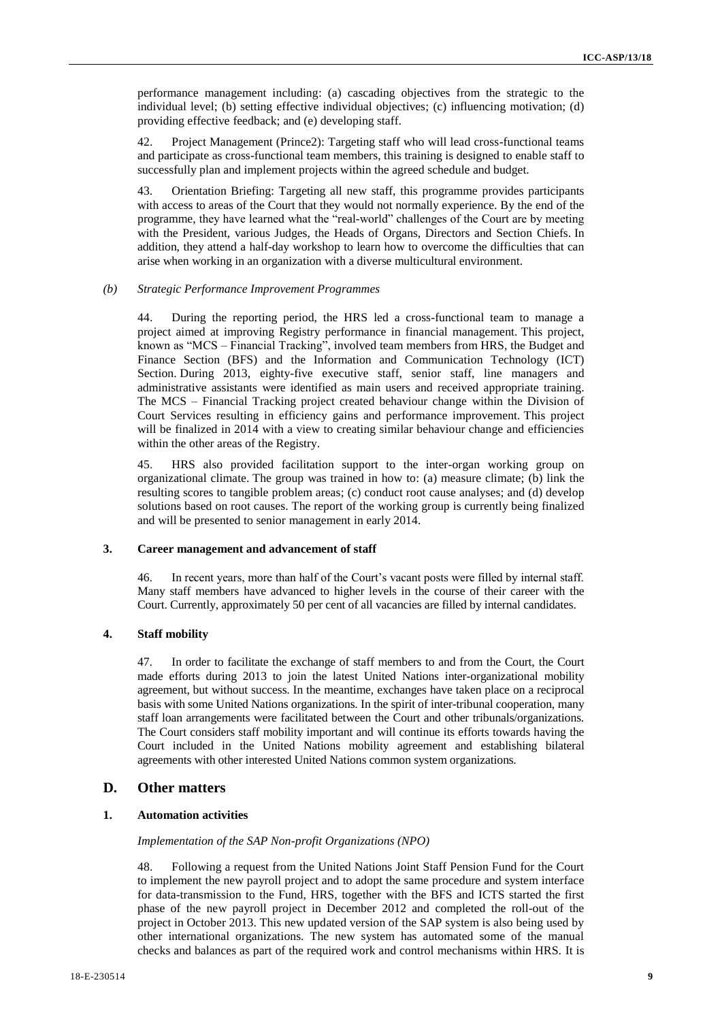performance management including: (a) cascading objectives from the strategic to the <sup>9</sup> individual level; (b) setting effective individual objectives; (c) influencing motivation; (d) providing effective feedback; and (e) developing staff.

42. Project Management (Prince2): Targeting staff who will lead cross-functional teams and participate as cross-functional team members, this training is designed to enable staff to successfully plan and implement projects within the agreed schedule and budget.

43. Orientation Briefing: Targeting all new staff, this programme provides participants with access to areas of the Court that they would not normally experience. By the end of the programme, they have learned what the "real-world" challenges of the Court are by meeting with the President, various Judges, the Heads of Organs, Directors and Section Chiefs. In addition, they attend a half-day workshop to learn how to overcome the difficulties that can arise when working in an organization with a diverse multicultural environment.

## *(b) Strategic Performance Improvement Programmes*

44. During the reporting period, the HRS led a cross-functional team to manage a project aimed at improving Registry performance in financial management. This project, known as "MCS – Financial Tracking", involved team members from HRS, the Budget and Finance Section (BFS) and the Information and Communication Technology (ICT) Section. During 2013, eighty-five executive staff, senior staff, line managers and administrative assistants were identified as main users and received appropriate training. The MCS – Financial Tracking project created behaviour change within the Division of Court Services resulting in efficiency gains and performance improvement. This project will be finalized in 2014 with a view to creating similar behaviour change and efficiencies within the other areas of the Registry.

45. HRS also provided facilitation support to the inter-organ working group on organizational climate. The group was trained in how to: (a) measure climate; (b) link the resulting scores to tangible problem areas; (c) conduct root cause analyses; and (d) develop solutions based on root causes. The report of the working group is currently being finalized and will be presented to senior management in early 2014.

## **3. Career management and advancement of staff**

46. In recent years, more than half of the Court's vacant posts were filled by internal staff. Many staff members have advanced to higher levels in the course of their career with the Court. Currently, approximately 50 per cent of all vacancies are filled by internal candidates.

### **4. Staff mobility**

47. In order to facilitate the exchange of staff members to and from the Court, the Court made efforts during 2013 to join the latest United Nations inter-organizational mobility agreement, but without success. In the meantime, exchanges have taken place on a reciprocal basis with some United Nations organizations. In the spirit of inter-tribunal cooperation, many staff loan arrangements were facilitated between the Court and other tribunals/organizations. The Court considers staff mobility important and will continue its efforts towards having the Court included in the United Nations mobility agreement and establishing bilateral agreements with other interested United Nations common system organizations.

# **D. Other matters**

## **1. Automation activities**

#### *Implementation of the SAP Non-profit Organizations (NPO)*

48. Following a request from the United Nations Joint Staff Pension Fund for the Court to implement the new payroll project and to adopt the same procedure and system interface for data-transmission to the Fund, HRS, together with the BFS and ICTS started the first phase of the new payroll project in December 2012 and completed the roll-out of the project in October 2013. This new updated version of the SAP system is also being used by other international organizations. The new system has automated some of the manual checks and balances as part of the required work and control mechanisms within HRS. It is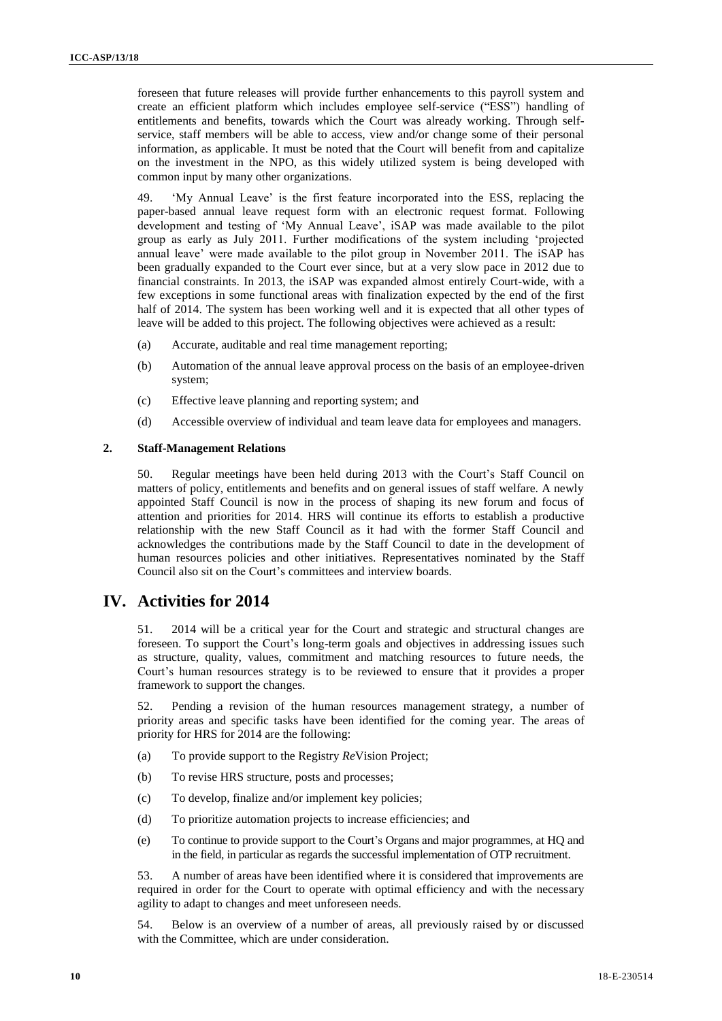foreseen that future releases will provide further enhancements to this payroll system and create an efficient platform which includes employee self-service ("ESS") handling of entitlements and benefits, towards which the Court was already working. Through selfservice, staff members will be able to access, view and/or change some of their personal information, as applicable. It must be noted that the Court will benefit from and capitalize on the investment in the NPO, as this widely utilized system is being developed with common input by many other organizations.

49. 'My Annual Leave' is the first feature incorporated into the ESS, replacing the paper-based annual leave request form with an electronic request format. Following development and testing of 'My Annual Leave', iSAP was made available to the pilot group as early as July 2011. Further modifications of the system including 'projected annual leave' were made available to the pilot group in November 2011. The iSAP has been gradually expanded to the Court ever since, but at a very slow pace in 2012 due to financial constraints. In 2013, the iSAP was expanded almost entirely Court-wide, with a few exceptions in some functional areas with finalization expected by the end of the first half of 2014. The system has been working well and it is expected that all other types of leave will be added to this project. The following objectives were achieved as a result:

- (a) Accurate, auditable and real time management reporting;
- (b) Automation of the annual leave approval process on the basis of an employee-driven system;
- (c) Effective leave planning and reporting system; and
- (d) Accessible overview of individual and team leave data for employees and managers.

#### **2. Staff-Management Relations**

50. Regular meetings have been held during 2013 with the Court's Staff Council on matters of policy, entitlements and benefits and on general issues of staff welfare. A newly appointed Staff Council is now in the process of shaping its new forum and focus of attention and priorities for 2014. HRS will continue its efforts to establish a productive relationship with the new Staff Council as it had with the former Staff Council and acknowledges the contributions made by the Staff Council to date in the development of human resources policies and other initiatives. Representatives nominated by the Staff Council also sit on the Court's committees and interview boards.

# **IV. Activities for 2014**

51. 2014 will be a critical year for the Court and strategic and structural changes are foreseen. To support the Court's long-term goals and objectives in addressing issues such as structure, quality, values, commitment and matching resources to future needs, the Court's human resources strategy is to be reviewed to ensure that it provides a proper framework to support the changes.

52. Pending a revision of the human resources management strategy, a number of priority areas and specific tasks have been identified for the coming year. The areas of priority for HRS for 2014 are the following:

- (a) To provide support to the Registry *Re*Vision Project;
- (b) To revise HRS structure, posts and processes;
- (c) To develop, finalize and/or implement key policies;
- (d) To prioritize automation projects to increase efficiencies; and
- (e) To continue to provide support to the Court's Organs and major programmes, at HQ and in the field, in particular as regards the successful implementation of OTP recruitment.

53. A number of areas have been identified where it is considered that improvements are required in order for the Court to operate with optimal efficiency and with the necessary agility to adapt to changes and meet unforeseen needs.

54. Below is an overview of a number of areas, all previously raised by or discussed with the Committee, which are under consideration.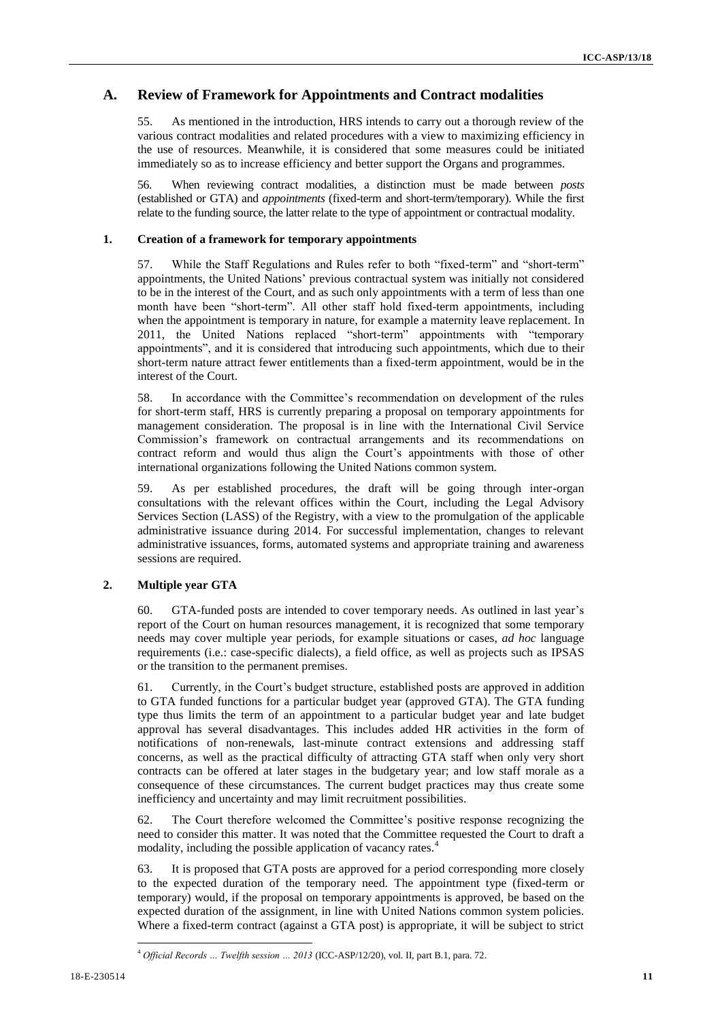# **A. Review of Framework for Appointments and Contract modalities**

55. As mentioned in the introduction, HRS intends to carry out a thorough review of the various contract modalities and related procedures with a view to maximizing efficiency in the use of resources. Meanwhile, it is considered that some measures could be initiated immediately so as to increase efficiency and better support the Organs and programmes.

56. When reviewing contract modalities, a distinction must be made between *posts* (established or GTA) and *appointments* (fixed-term and short-term/temporary). While the first relate to the funding source, the latter relate to the type of appointment or contractual modality.

#### **1. Creation of a framework for temporary appointments**

57. While the Staff Regulations and Rules refer to both "fixed-term" and "short-term" appointments, the United Nations' previous contractual system was initially not considered to be in the interest of the Court, and as such only appointments with a term of less than one month have been "short-term". All other staff hold fixed-term appointments, including when the appointment is temporary in nature, for example a maternity leave replacement. In 2011, the United Nations replaced "short-term" appointments with "temporary appointments", and it is considered that introducing such appointments, which due to their short-term nature attract fewer entitlements than a fixed-term appointment, would be in the interest of the Court.

58. In accordance with the Committee's recommendation on development of the rules for short-term staff, HRS is currently preparing a proposal on temporary appointments for management consideration. The proposal is in line with the International Civil Service Commission's framework on contractual arrangements and its recommendations on contract reform and would thus align the Court's appointments with those of other international organizations following the United Nations common system.

59. As per established procedures, the draft will be going through inter-organ consultations with the relevant offices within the Court, including the Legal Advisory Services Section (LASS) of the Registry, with a view to the promulgation of the applicable administrative issuance during 2014. For successful implementation, changes to relevant administrative issuances, forms, automated systems and appropriate training and awareness sessions are required.

#### **2. Multiple year GTA**

60. GTA-funded posts are intended to cover temporary needs. As outlined in last year's report of the Court on human resources management, it is recognized that some temporary needs may cover multiple year periods, for example situations or cases, *ad hoc* language requirements (i.e.: case-specific dialects), a field office, as well as projects such as IPSAS or the transition to the permanent premises.

61. Currently, in the Court's budget structure, established posts are approved in addition to GTA funded functions for a particular budget year (approved GTA). The GTA funding type thus limits the term of an appointment to a particular budget year and late budget approval has several disadvantages. This includes added HR activities in the form of notifications of non-renewals, last-minute contract extensions and addressing staff concerns, as well as the practical difficulty of attracting GTA staff when only very short contracts can be offered at later stages in the budgetary year; and low staff morale as a consequence of these circumstances. The current budget practices may thus create some inefficiency and uncertainty and may limit recruitment possibilities.

62. The Court therefore welcomed the Committee's positive response recognizing the need to consider this matter. It was noted that the Committee requested the Court to draft a modality, including the possible application of vacancy rates.<sup>4</sup>

63. It is proposed that GTA posts are approved for a period corresponding more closely to the expected duration of the temporary need. The appointment type (fixed-term or temporary) would, if the proposal on temporary appointments is approved, be based on the expected duration of the assignment, in line with United Nations common system policies. Where a fixed-term contract (against a GTA post) is appropriate, it will be subject to strict

<sup>4</sup> *Official Records … Twelfth session … 2013* (ICC-ASP/12/20), vol. II, part B.1, para. 72.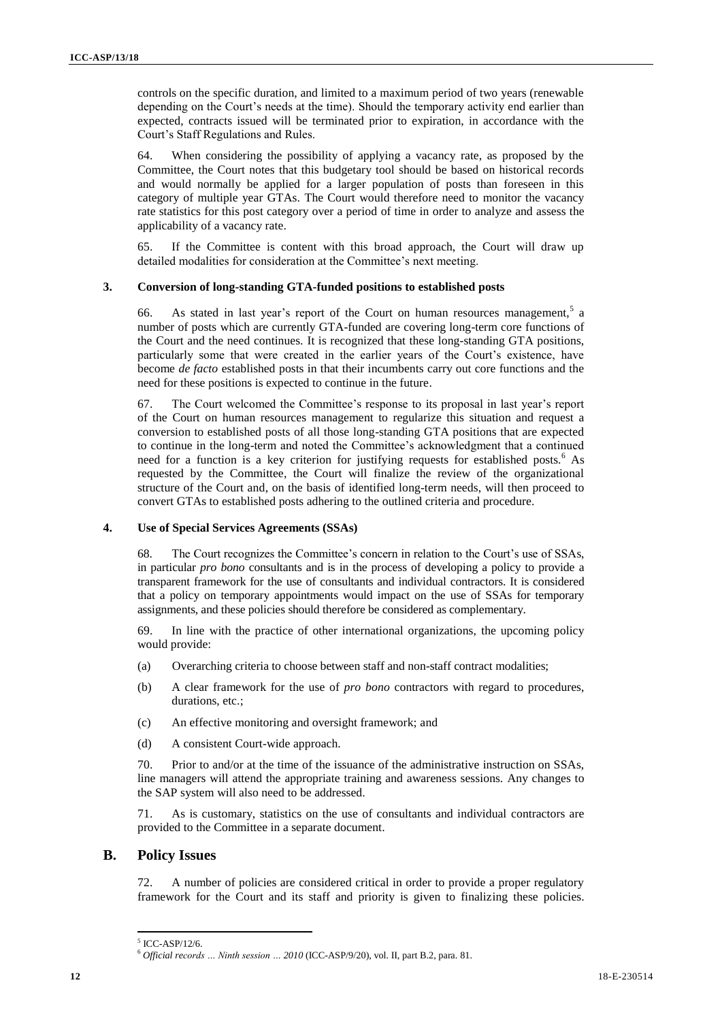controls on the specific duration, and limited to a maximum period of two years (renewable depending on the Court's needs at the time). Should the temporary activity end earlier than expected, contracts issued will be terminated prior to expiration, in accordance with the Court's Staff Regulations and Rules.

64. When considering the possibility of applying a vacancy rate, as proposed by the Committee, the Court notes that this budgetary tool should be based on historical records and would normally be applied for a larger population of posts than foreseen in this category of multiple year GTAs. The Court would therefore need to monitor the vacancy rate statistics for this post category over a period of time in order to analyze and assess the applicability of a vacancy rate.

65. If the Committee is content with this broad approach, the Court will draw up detailed modalities for consideration at the Committee's next meeting.

## **3. Conversion of long-standing GTA-funded positions to established posts**

66. As stated in last year's report of the Court on human resources management,  $5a$ number of posts which are currently GTA-funded are covering long-term core functions of the Court and the need continues. It is recognized that these long-standing GTA positions, particularly some that were created in the earlier years of the Court's existence, have become *de facto* established posts in that their incumbents carry out core functions and the need for these positions is expected to continue in the future.

67. The Court welcomed the Committee's response to its proposal in last year's report of the Court on human resources management to regularize this situation and request a conversion to established posts of all those long-standing GTA positions that are expected to continue in the long-term and noted the Committee's acknowledgment that a continued need for a function is a key criterion for justifying requests for established posts.<sup>6</sup> As requested by the Committee, the Court will finalize the review of the organizational structure of the Court and, on the basis of identified long-term needs, will then proceed to convert GTAs to established posts adhering to the outlined criteria and procedure.

## **4. Use of Special Services Agreements (SSAs)**

68. The Court recognizes the Committee's concern in relation to the Court's use of SSAs, in particular *pro bono* consultants and is in the process of developing a policy to provide a transparent framework for the use of consultants and individual contractors. It is considered that a policy on temporary appointments would impact on the use of SSAs for temporary assignments, and these policies should therefore be considered as complementary.

69. In line with the practice of other international organizations, the upcoming policy would provide:

- (a) Overarching criteria to choose between staff and non-staff contract modalities;
- (b) A clear framework for the use of *pro bono* contractors with regard to procedures, durations, etc.:
- (c) An effective monitoring and oversight framework; and
- (d) A consistent Court-wide approach.

70. Prior to and/or at the time of the issuance of the administrative instruction on SSAs, line managers will attend the appropriate training and awareness sessions. Any changes to the SAP system will also need to be addressed.

71. As is customary, statistics on the use of consultants and individual contractors are provided to the Committee in a separate document.

# **B. Policy Issues**

72. A number of policies are considered critical in order to provide a proper regulatory framework for the Court and its staff and priority is given to finalizing these policies.

<sup>5</sup> ICC-ASP/12/6.

<sup>6</sup> *Official records … Ninth session … 2010* (ICC-ASP/9/20), vol. II, part B.2, para. 81.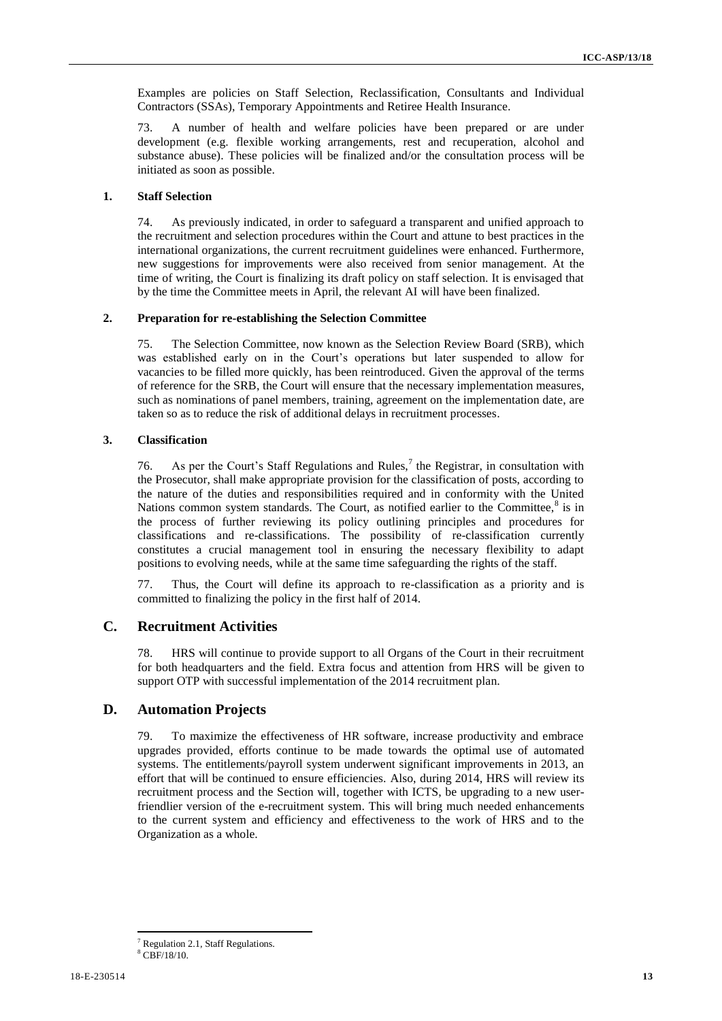Examples are policies on Staff Selection, Reclassification, Consultants and Individual Contractors (SSAs), Temporary Appointments and Retiree Health Insurance.

73. A number of health and welfare policies have been prepared or are under development (e.g. flexible working arrangements, rest and recuperation, alcohol and substance abuse). These policies will be finalized and/or the consultation process will be initiated as soon as possible.

## **1. Staff Selection**

74. As previously indicated, in order to safeguard a transparent and unified approach to the recruitment and selection procedures within the Court and attune to best practices in the international organizations, the current recruitment guidelines were enhanced. Furthermore, new suggestions for improvements were also received from senior management. At the time of writing, the Court is finalizing its draft policy on staff selection. It is envisaged that by the time the Committee meets in April, the relevant AI will have been finalized.

#### **2. Preparation for re-establishing the Selection Committee**

75. The Selection Committee, now known as the Selection Review Board (SRB), which was established early on in the Court's operations but later suspended to allow for vacancies to be filled more quickly, has been reintroduced. Given the approval of the terms of reference for the SRB, the Court will ensure that the necessary implementation measures, such as nominations of panel members, training, agreement on the implementation date, are taken so as to reduce the risk of additional delays in recruitment processes.

#### **3. Classification**

76. As per the Court's Staff Regulations and Rules,<sup>7</sup> the Registrar, in consultation with the Prosecutor, shall make appropriate provision for the classification of posts, according to the nature of the duties and responsibilities required and in conformity with the United Nations common system standards. The Court, as notified earlier to the Committee, ${}^{8}$  is in the process of further reviewing its policy outlining principles and procedures for classifications and re-classifications. The possibility of re-classification currently constitutes a crucial management tool in ensuring the necessary flexibility to adapt positions to evolving needs, while at the same time safeguarding the rights of the staff.

77. Thus, the Court will define its approach to re-classification as a priority and is committed to finalizing the policy in the first half of 2014.

# **C. Recruitment Activities**

78. HRS will continue to provide support to all Organs of the Court in their recruitment for both headquarters and the field. Extra focus and attention from HRS will be given to support OTP with successful implementation of the 2014 recruitment plan.

# **D. Automation Projects**

79. To maximize the effectiveness of HR software, increase productivity and embrace upgrades provided, efforts continue to be made towards the optimal use of automated systems. The entitlements/payroll system underwent significant improvements in 2013, an effort that will be continued to ensure efficiencies. Also, during 2014, HRS will review its recruitment process and the Section will, together with ICTS, be upgrading to a new userfriendlier version of the e-recruitment system. This will bring much needed enhancements to the current system and efficiency and effectiveness to the work of HRS and to the Organization as a whole.

 $\overline{a}$ <sup>7</sup> Regulation 2.1, Staff Regulations.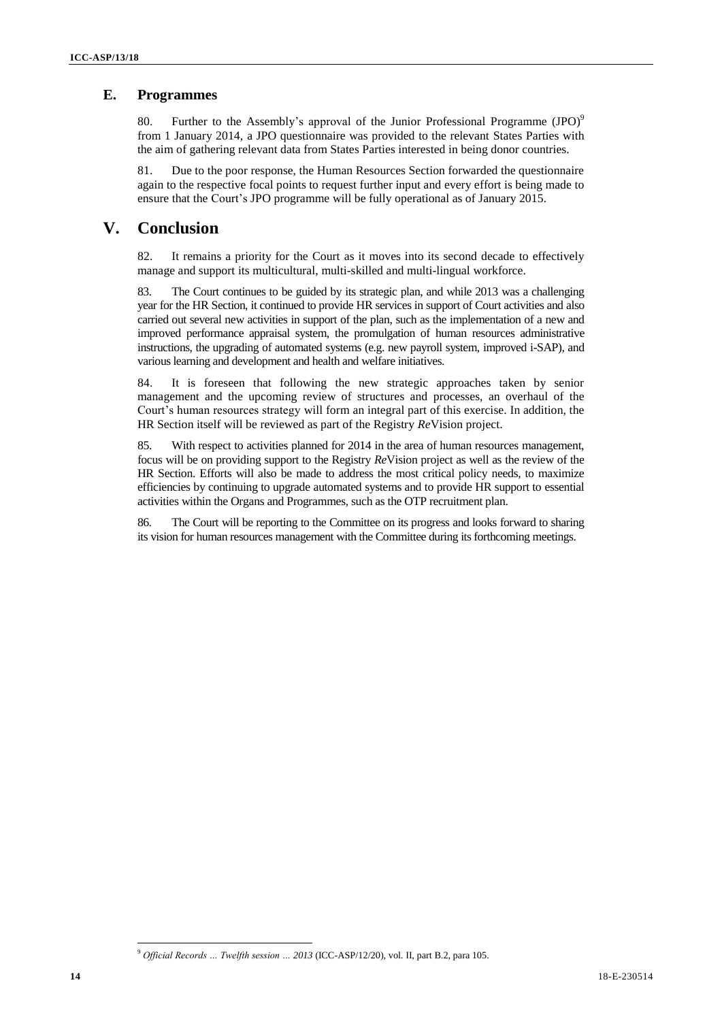# **E. Programmes**

80. Further to the Assembly's approval of the Junior Professional Programme (JPO)<sup>9</sup> from 1 January 2014, a JPO questionnaire was provided to the relevant States Parties with the aim of gathering relevant data from States Parties interested in being donor countries.

81. Due to the poor response, the Human Resources Section forwarded the questionnaire again to the respective focal points to request further input and every effort is being made to ensure that the Court's JPO programme will be fully operational as of January 2015.

# **V. Conclusion**

82. It remains a priority for the Court as it moves into its second decade to effectively manage and support its multicultural, multi-skilled and multi-lingual workforce.

83. The Court continues to be guided by its strategic plan, and while 2013 was a challenging year for the HR Section, it continued to provide HR services in support of Court activities and also carried out several new activities in support of the plan, such as the implementation of a new and improved performance appraisal system, the promulgation of human resources administrative instructions, the upgrading of automated systems (e.g. new payroll system, improved i-SAP), and various learning and development and health and welfare initiatives.

84. It is foreseen that following the new strategic approaches taken by senior management and the upcoming review of structures and processes, an overhaul of the Court's human resources strategy will form an integral part of this exercise. In addition, the HR Section itself will be reviewed as part of the Registry *Re*Vision project.

85. With respect to activities planned for 2014 in the area of human resources management, focus will be on providing support to the Registry *Re*Vision project as well as the review of the HR Section. Efforts will also be made to address the most critical policy needs, to maximize efficiencies by continuing to upgrade automated systems and to provide HR support to essential activities within the Organs and Programmes, such as the OTP recruitment plan.

86. The Court will be reporting to the Committee on its progress and looks forward to sharing its vision for human resources management with the Committee during its forthcoming meetings.

<sup>9</sup> *Official Records … Twelfth session … 2013* (ICC-ASP/12/20), vol. II, part B.2, para 105.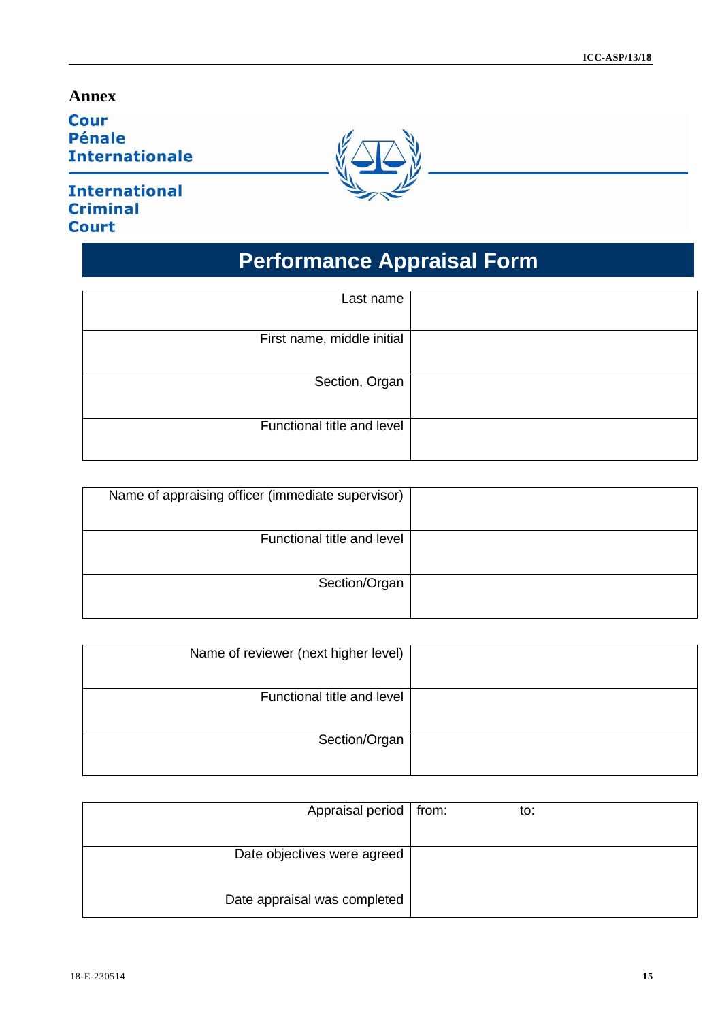# **Annex**

**Cour Pénale Internationale** 

# **International Criminal Court**



# **Performance Appraisal Form**

| Last name                  |  |
|----------------------------|--|
| First name, middle initial |  |
| Section, Organ             |  |
| Functional title and level |  |

| Name of appraising officer (immediate supervisor) |  |
|---------------------------------------------------|--|
| Functional title and level                        |  |
| Section/Organ                                     |  |

| Name of reviewer (next higher level) |  |
|--------------------------------------|--|
| Functional title and level           |  |
| Section/Organ                        |  |

| Appraisal period   from:     | to: |  |
|------------------------------|-----|--|
|                              |     |  |
| Date objectives were agreed  |     |  |
|                              |     |  |
| Date appraisal was completed |     |  |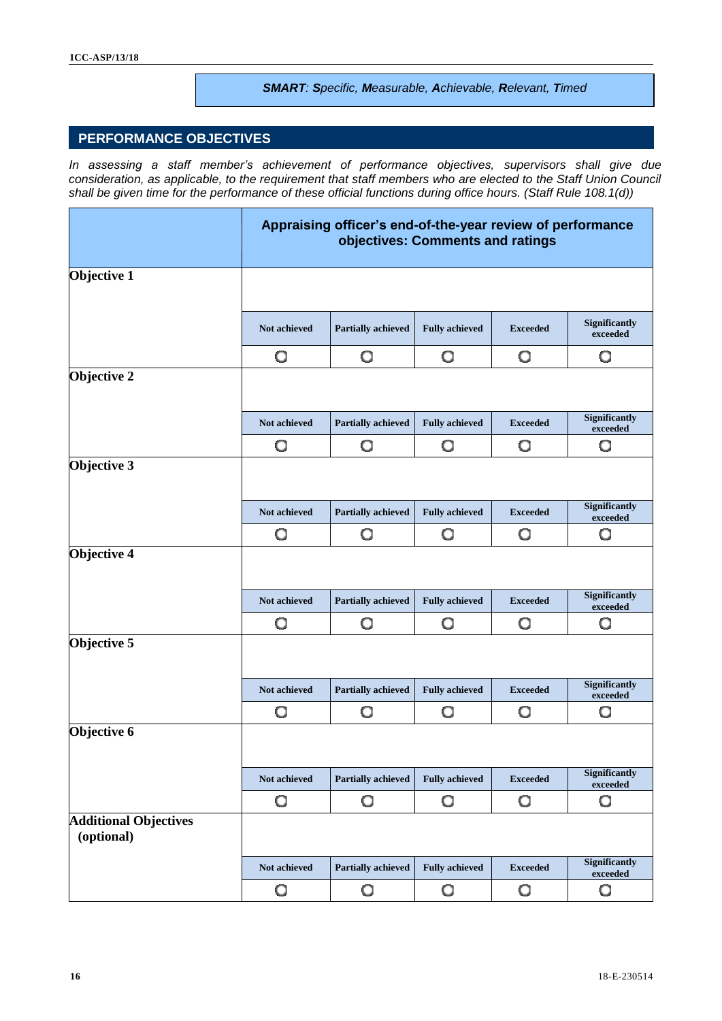## *SMART: Specific, Measurable, Achievable, Relevant, Timed*

# **PERFORMANCE OBJECTIVES**

*In assessing a staff member's achievement of performance objectives, supervisors shall give due consideration, as applicable, to the requirement that staff members who are elected to the Staff Union Council shall be given time for the performance of these official functions during office hours. (Staff Rule 108.1(d))*

|                                            |              | Appraising officer's end-of-the-year review of performance<br>objectives: Comments and ratings |                       |                 |                                  |
|--------------------------------------------|--------------|------------------------------------------------------------------------------------------------|-----------------------|-----------------|----------------------------------|
| Objective 1                                |              |                                                                                                |                       |                 |                                  |
|                                            | Not achieved | <b>Partially achieved</b>                                                                      | <b>Fully achieved</b> | <b>Exceeded</b> | Significantly<br>exceeded        |
|                                            | O            | O                                                                                              | O                     | O               | O                                |
| Objective 2                                |              |                                                                                                |                       |                 |                                  |
|                                            | Not achieved | <b>Partially achieved</b>                                                                      | <b>Fully achieved</b> | <b>Exceeded</b> | <b>Significantly</b><br>exceeded |
|                                            | O            | O                                                                                              | O                     | O               | O                                |
| Objective 3                                |              |                                                                                                |                       |                 |                                  |
|                                            | Not achieved | <b>Partially achieved</b>                                                                      | <b>Fully achieved</b> | <b>Exceeded</b> | <b>Significantly</b><br>exceeded |
|                                            | O            | O                                                                                              | O                     | O               | O                                |
| <b>Objective 4</b>                         |              |                                                                                                |                       |                 |                                  |
|                                            | Not achieved | <b>Partially achieved</b>                                                                      | <b>Fully achieved</b> | <b>Exceeded</b> | <b>Significantly</b><br>exceeded |
|                                            | O            | O                                                                                              | О                     | O               | O                                |
| Objective 5                                |              |                                                                                                |                       |                 |                                  |
|                                            | Not achieved | <b>Partially achieved</b>                                                                      | <b>Fully achieved</b> | <b>Exceeded</b> | <b>Significantly</b><br>exceeded |
|                                            | O            | O                                                                                              | О                     | O               | O                                |
| Objective 6                                |              |                                                                                                |                       |                 |                                  |
|                                            | Not achieved | <b>Partially achieved</b>                                                                      | <b>Fully achieved</b> | <b>Exceeded</b> | <b>Significantly</b><br>exceeded |
|                                            | О            | O                                                                                              | O                     | O               | O                                |
| <b>Additional Objectives</b><br>(optional) |              |                                                                                                |                       |                 |                                  |
|                                            | Not achieved | <b>Partially achieved</b>                                                                      | <b>Fully achieved</b> | <b>Exceeded</b> | <b>Significantly</b><br>exceeded |
|                                            | О            | O                                                                                              | О                     | O               | О                                |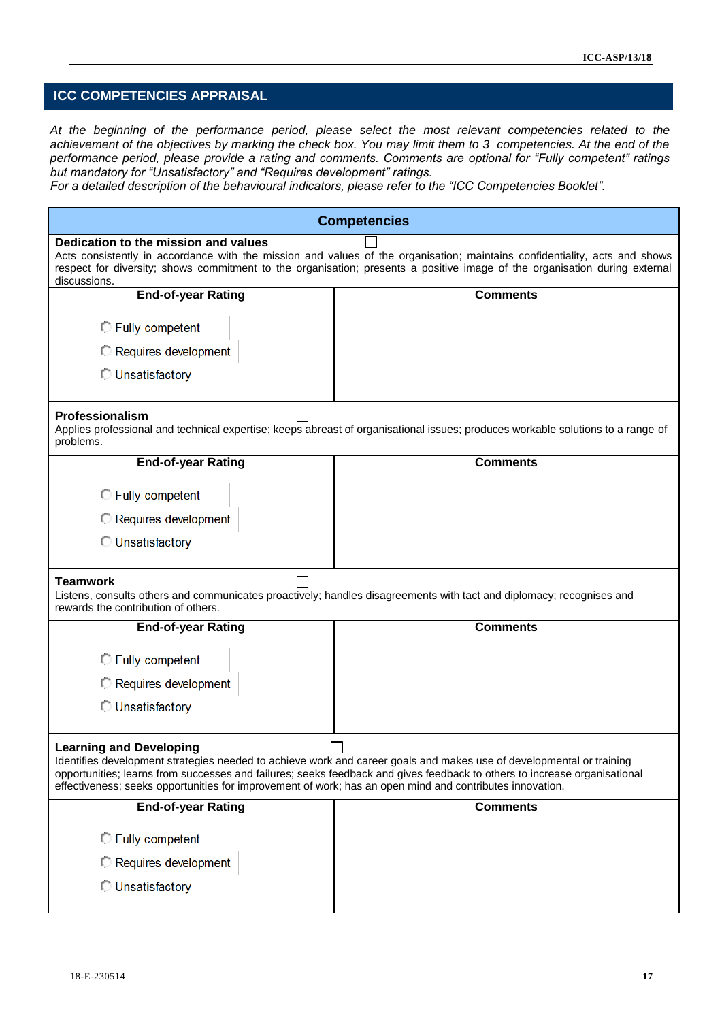# **ICC COMPETENCIES APPRAISAL**

*At the beginning of the performance period, please select the most relevant competencies related to the*  achievement of the objectives by marking the check box. You may limit them to 3 competencies. At the end of the *performance period, please provide a rating and comments. Comments are optional for "Fully competent" ratings but mandatory for "Unsatisfactory" and "Requires development" ratings.* 

*For a detailed description of the behavioural indicators, please refer to the "ICC Competencies Booklet".*

|                                                                                                                                            | <b>Competencies</b>                                                                                                                                                                                                                                      |  |  |
|--------------------------------------------------------------------------------------------------------------------------------------------|----------------------------------------------------------------------------------------------------------------------------------------------------------------------------------------------------------------------------------------------------------|--|--|
| Dedication to the mission and values<br>discussions.                                                                                       | Acts consistently in accordance with the mission and values of the organisation; maintains confidentiality, acts and shows<br>respect for diversity; shows commitment to the organisation; presents a positive image of the organisation during external |  |  |
| <b>End-of-year Rating</b>                                                                                                                  | <b>Comments</b>                                                                                                                                                                                                                                          |  |  |
| <b>C</b> Fully competent                                                                                                                   |                                                                                                                                                                                                                                                          |  |  |
| Requires development                                                                                                                       |                                                                                                                                                                                                                                                          |  |  |
| <b>Unsatisfactory</b>                                                                                                                      |                                                                                                                                                                                                                                                          |  |  |
| Professionalism<br>problems.                                                                                                               | Applies professional and technical expertise; keeps abreast of organisational issues; produces workable solutions to a range of                                                                                                                          |  |  |
| <b>End-of-year Rating</b>                                                                                                                  | <b>Comments</b>                                                                                                                                                                                                                                          |  |  |
| <b>C</b> Fully competent                                                                                                                   |                                                                                                                                                                                                                                                          |  |  |
| Requires development                                                                                                                       |                                                                                                                                                                                                                                                          |  |  |
| <b>Unsatisfactory</b>                                                                                                                      |                                                                                                                                                                                                                                                          |  |  |
| <b>Teamwork</b><br>rewards the contribution of others.                                                                                     | Listens, consults others and communicates proactively; handles disagreements with tact and diplomacy; recognises and                                                                                                                                     |  |  |
| <b>End-of-year Rating</b>                                                                                                                  | <b>Comments</b>                                                                                                                                                                                                                                          |  |  |
| <b>C</b> Fully competent                                                                                                                   |                                                                                                                                                                                                                                                          |  |  |
| <b>C</b> Requires development                                                                                                              |                                                                                                                                                                                                                                                          |  |  |
| <b>Unsatisfactory</b>                                                                                                                      |                                                                                                                                                                                                                                                          |  |  |
| <b>Learning and Developing</b><br>effectiveness; seeks opportunities for improvement of work; has an open mind and contributes innovation. | Identifies development strategies needed to achieve work and career goals and makes use of developmental or training<br>opportunities; learns from successes and failures; seeks feedback and gives feedback to others to increase organisational        |  |  |
| <b>End-of-year Rating</b>                                                                                                                  | <b>Comments</b>                                                                                                                                                                                                                                          |  |  |
| <b>C</b> Fully competent                                                                                                                   |                                                                                                                                                                                                                                                          |  |  |
| Requires development                                                                                                                       |                                                                                                                                                                                                                                                          |  |  |
| <b>Unsatisfactory</b>                                                                                                                      |                                                                                                                                                                                                                                                          |  |  |
|                                                                                                                                            |                                                                                                                                                                                                                                                          |  |  |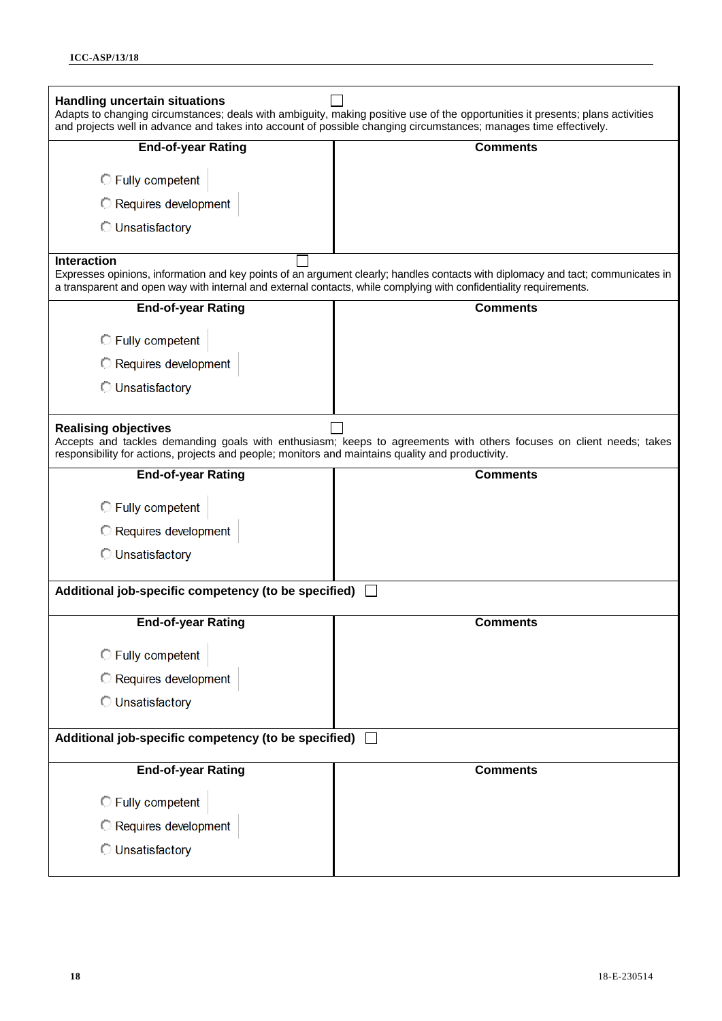| <b>Handling uncertain situations</b><br>and projects well in advance and takes into account of possible changing circumstances; manages time effectively. | Adapts to changing circumstances; deals with ambiguity, making positive use of the opportunities it presents; plans activities   |
|-----------------------------------------------------------------------------------------------------------------------------------------------------------|----------------------------------------------------------------------------------------------------------------------------------|
| <b>End-of-year Rating</b>                                                                                                                                 | <b>Comments</b>                                                                                                                  |
| <b>C</b> Fully competent                                                                                                                                  |                                                                                                                                  |
| <b>C</b> Requires development                                                                                                                             |                                                                                                                                  |
| <b>Unsatisfactory</b>                                                                                                                                     |                                                                                                                                  |
| <b>Interaction</b>                                                                                                                                        |                                                                                                                                  |
| a transparent and open way with internal and external contacts, while complying with confidentiality requirements.                                        | Expresses opinions, information and key points of an argument clearly; handles contacts with diplomacy and tact; communicates in |
| <b>End-of-year Rating</b>                                                                                                                                 | <b>Comments</b>                                                                                                                  |
| <b>C</b> Fully competent                                                                                                                                  |                                                                                                                                  |
| <b>C</b> Requires development                                                                                                                             |                                                                                                                                  |
| <b>Unsatisfactory</b>                                                                                                                                     |                                                                                                                                  |
| <b>Realising objectives</b><br>responsibility for actions, projects and people; monitors and maintains quality and productivity.                          | Accepts and tackles demanding goals with enthusiasm; keeps to agreements with others focuses on client needs; takes              |
| <b>End-of-year Rating</b>                                                                                                                                 | <b>Comments</b>                                                                                                                  |
| <b>C</b> Fully competent                                                                                                                                  |                                                                                                                                  |
| Requires development                                                                                                                                      |                                                                                                                                  |
| <b>Unsatisfactory</b>                                                                                                                                     |                                                                                                                                  |
| Additional job-specific competency (to be specified)                                                                                                      |                                                                                                                                  |
| <b>End-of-year Rating</b>                                                                                                                                 | <b>Comments</b>                                                                                                                  |
| Fully competent                                                                                                                                           |                                                                                                                                  |
| Requires development                                                                                                                                      |                                                                                                                                  |
| <b>Unsatisfactory</b>                                                                                                                                     |                                                                                                                                  |
| Additional job-specific competency (to be specified)                                                                                                      |                                                                                                                                  |
| <b>End-of-year Rating</b>                                                                                                                                 | <b>Comments</b>                                                                                                                  |
| Fully competent                                                                                                                                           |                                                                                                                                  |
| Requires development                                                                                                                                      |                                                                                                                                  |
| <b>Unsatisfactory</b>                                                                                                                                     |                                                                                                                                  |
|                                                                                                                                                           |                                                                                                                                  |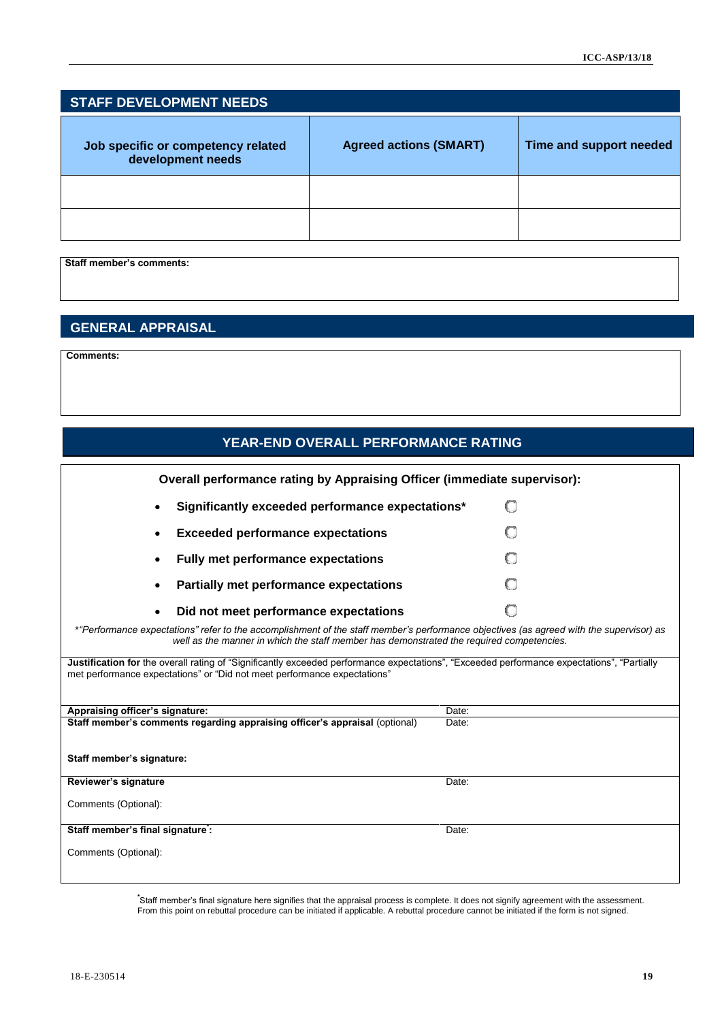| <b>STAFF DEVELOPMENT NEEDS</b>                          |                               |                         |  |
|---------------------------------------------------------|-------------------------------|-------------------------|--|
| Job specific or competency related<br>development needs | <b>Agreed actions (SMART)</b> | Time and support needed |  |
|                                                         |                               |                         |  |
|                                                         |                               |                         |  |

**Staff member's comments:**

# **GENERAL APPRAISAL**

**Comments:**

| YEAR-END OVERALL PERFORMANCE RATING                                                                                                                                                                                                 |       |
|-------------------------------------------------------------------------------------------------------------------------------------------------------------------------------------------------------------------------------------|-------|
| Overall performance rating by Appraising Officer (immediate supervisor):                                                                                                                                                            |       |
| Significantly exceeded performance expectations*<br>$\bullet$                                                                                                                                                                       | Œ     |
| <b>Exceeded performance expectations</b>                                                                                                                                                                                            |       |
| Fully met performance expectations                                                                                                                                                                                                  |       |
| <b>Partially met performance expectations</b>                                                                                                                                                                                       |       |
| Did not meet performance expectations                                                                                                                                                                                               |       |
| *"Performance expectations" refer to the accomplishment of the staff member's performance objectives (as agreed with the supervisor) as<br>well as the manner in which the staff member has demonstrated the required competencies. |       |
| Justification for the overall rating of "Significantly exceeded performance expectations", "Exceeded performance expectations", "Partially<br>met performance expectations" or "Did not meet performance expectations"              |       |
| Appraising officer's signature:                                                                                                                                                                                                     | Date: |
| Staff member's comments regarding appraising officer's appraisal (optional)                                                                                                                                                         | Date: |
| Staff member's signature:                                                                                                                                                                                                           |       |
| Reviewer's signature                                                                                                                                                                                                                | Date: |
| Comments (Optional):                                                                                                                                                                                                                |       |
| Staff member's final signature:                                                                                                                                                                                                     | Date: |
| Comments (Optional):                                                                                                                                                                                                                |       |

**\*** Staff member's final signature here signifies that the appraisal process is complete. It does not signify agreement with the assessment. From this point on rebuttal procedure can be initiated if applicable. A rebuttal procedure cannot be initiated if the form is not signed.